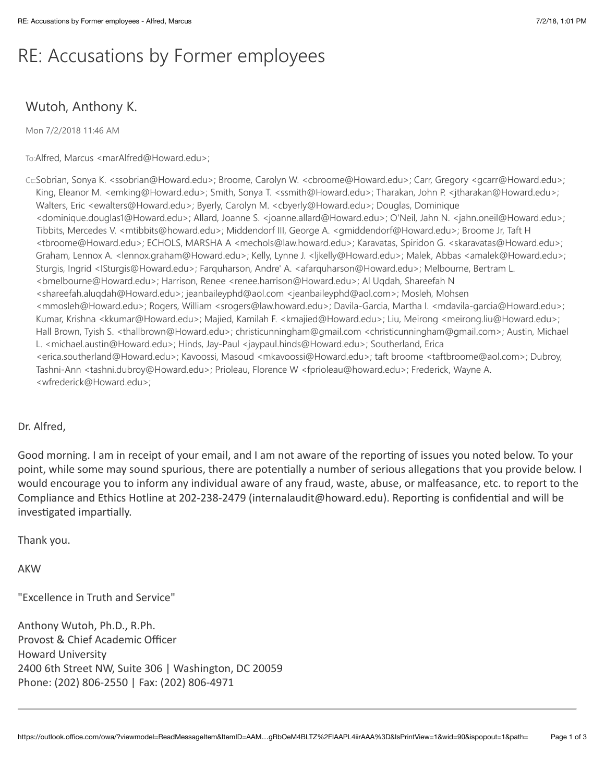# RE: Accusations by Former employees

# Wutoh, Anthony K.

Mon 7/2/2018 11:46 AM

To:Alfred, Marcus <marAlfred@Howard.edu>;

Cc:Sobrian, Sonya K. <ssobrian@Howard.edu>; Broome, Carolyn W. <cbroome@Howard.edu>; Carr, Gregory <gcarr@Howard.edu>; King, Eleanor M. <emking@Howard.edu>; Smith, Sonya T. <ssmith@Howard.edu>; Tharakan, John P. <jtharakan@Howard.edu>; Walters, Eric <ewalters@Howard.edu>; Byerly, Carolyn M. <cbyerly@Howard.edu>; Douglas, Dominique <dominique.douglas1@Howard.edu>; Allard, Joanne S. <joanne.allard@Howard.edu>; O'Neil, Jahn N. <jahn.oneil@Howard.edu>; Tibbits, Mercedes V. <mtibbits@howard.edu>; Middendorf III, George A. <gmiddendorf@Howard.edu>; Broome Jr, Taft H <tbroome@Howard.edu>; ECHOLS, MARSHA A <mechols@law.howard.edu>; Karavatas, Spiridon G. <skaravatas@Howard.edu>; Graham, Lennox A. <lennox.graham@Howard.edu>; Kelly, Lynne J. <ljkelly@Howard.edu>; Malek, Abbas <amalek@Howard.edu>; Sturgis, Ingrid <ISturgis@Howard.edu>; Farquharson, Andre' A. <afarquharson@Howard.edu>; Melbourne, Bertram L. <bmelbourne@Howard.edu>; Harrison, Renee <renee.harrison@Howard.edu>; Al Ugdah, Shareefah N <shareefah.aluqdah@Howard.edu>; jeanbaileyphd@aol.com <jeanbaileyphd@aol.com>; Mosleh, Mohsen <mmosleh@Howard.edu>; Rogers, William <srogers@law.howard.edu>; Davila-Garcia, Martha I. <mdavila-garcia@Howard.edu>; Kumar, Krishna <kkumar@Howard.edu>; Majied, Kamilah F. <kmajied@Howard.edu>; Liu, Meirong <meirong.liu@Howard.edu>; Hall Brown, Tyish S. <thallbrown@Howard.edu>; christicunningham@qmail.com <christicunningham@qmail.com>; Austin, Michael L. <michael.austin@Howard.edu>; Hinds, Jay-Paul <jaypaul.hinds@Howard.edu>; Southerland, Erica <erica.southerland@Howard.edu>; Kavoossi, Masoud <mkavoossi@Howard.edu>; taft broome <taftbroome@aol.com>; Dubroy, Tashni-Ann <tashni.dubroy@Howard.edu>; Prioleau, Florence W <fprioleau@howard.edu>; Frederick, Wayne A. <wfrederick@Howard.edu>;

## Dr. Alfred.

Good morning. I am in receipt of your email, and I am not aware of the reporting of issues you noted below. To your point, while some may sound spurious, there are potentially a number of serious allegations that you provide below. I would encourage you to inform any individual aware of any fraud, waste, abuse, or malfeasance, etc. to report to the Compliance and Ethics Hotline at 202-238-2479 (internalaudit@howard.edu). Reporting is confidential and will be investigated impartially.

Thank you.

**AKW** 

"Excellence in Truth and Service"

Anthony Wutoh, Ph.D., R.Ph. Provost & Chief Academic Officer **Howard University** 2400 6th Street NW, Suite 306 | Washington, DC 20059 Phone: (202) 806-2550 | Fax: (202) 806-4971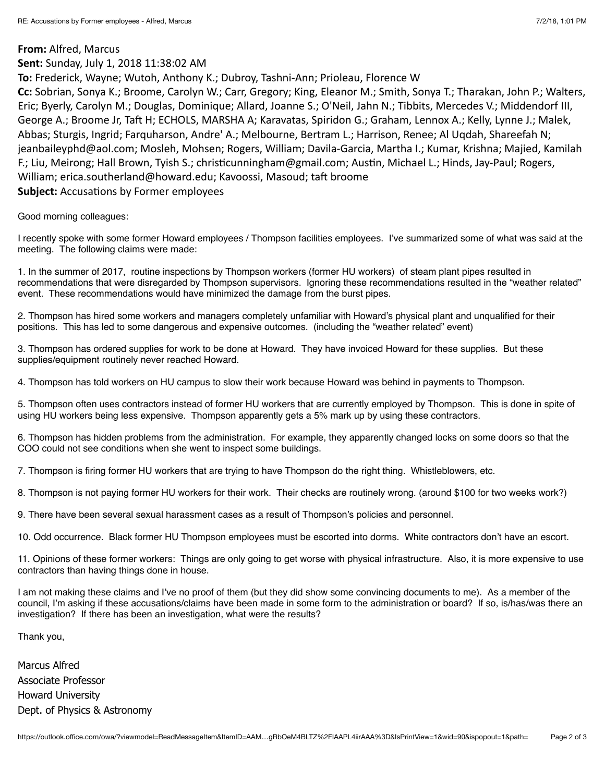#### From: Alfred, Marcus

### Sent: Sunday, July 1, 2018 11:38:02 AM

To: Frederick, Wayne; Wutoh, Anthony K.; Dubroy, Tashni-Ann; Prioleau, Florence W

Cc: Sobrian, Sonya K.; Broome, Carolyn W.; Carr, Gregory; King, Eleanor M.; Smith, Sonya T.; Tharakan, John P.; Walters, Eric; Byerly, Carolyn M.; Douglas, Dominique; Allard, Joanne S.; O'Neil, Jahn N.; Tibbits, Mercedes V.; Middendorf III, George A.; Broome Jr, Taft H; ECHOLS, MARSHA A; Karavatas, Spiridon G.; Graham, Lennox A.; Kelly, Lynne J.; Malek, Abbas; Sturgis, Ingrid; Farquharson, Andre' A.; Melbourne, Bertram L.; Harrison, Renee; Al Uqdah, Shareefah N; jeanbaileyphd@aol.com; Mosleh, Mohsen; Rogers, William; Davila-Garcia, Martha I.; Kumar, Krishna; Majied, Kamilah F.; Liu, Meirong; Hall Brown, Tyish S.; christicunningham@gmail.com; Austin, Michael L.; Hinds, Jay-Paul; Rogers, William; erica.southerland@howard.edu; Kavoossi, Masoud; taft broome **Subject: Accusations by Former employees** 

Good morning colleagues:

I recently spoke with some former Howard employees / Thompson facilities employees. I've summarized some of what was said at the meeting. The following claims were made:

1. In the summer of 2017, routine inspections by Thompson workers (former HU workers) of steam plant pipes resulted in recommendations that were disregarded by Thompson supervisors. Ignoring these recommendations resulted in the "weather related" event. These recommendations would have minimized the damage from the burst pipes.

2. Thompson has hired some workers and managers completely unfamiliar with Howard's physical plant and unqualified for their positions. This has led to some dangerous and expensive outcomes. (including the "weather related" event)

3. Thompson has ordered supplies for work to be done at Howard. They have invoiced Howard for these supplies. But these supplies/equipment routinely never reached Howard.

4. Thompson has told workers on HU campus to slow their work because Howard was behind in payments to Thompson.

5. Thompson often uses contractors instead of former HU workers that are currently emploved by Thompson. This is done in spite of using HU workers being less expensive. Thompson apparently gets a 5% mark up by using these contractors.

6. Thompson has hidden problems from the administration. For example, they apparently changed locks on some doors so that the COO could not see conditions when she went to inspect some buildings.

7. Thompson is firing former HU workers that are trying to have Thompson do the right thing. Whistleblowers, etc.

8. Thompson is not paying former HU workers for their work. Their checks are routinely wrong. (around \$100 for two weeks work?)

9. There have been several sexual harassment cases as a result of Thompson's policies and personnel.

10. Odd occurrence. Black former HU Thompson employees must be escorted into dorms. White contractors don't have an escort.

11. Opinions of these former workers: Things are only going to get worse with physical infrastructure. Also, it is more expensive to use contractors than having things done in house.

I am not making these claims and I've no proof of them (but they did show some convincing documents to me). As a member of the council, I'm asking if these accusations/claims have been made in some form to the administration or board? If so, is/has/was there an investigation? If there has been an investigation, what were the results?

Thank you,

Marcus Alfred **Associate Professor Howard University** Dept. of Physics & Astronomy